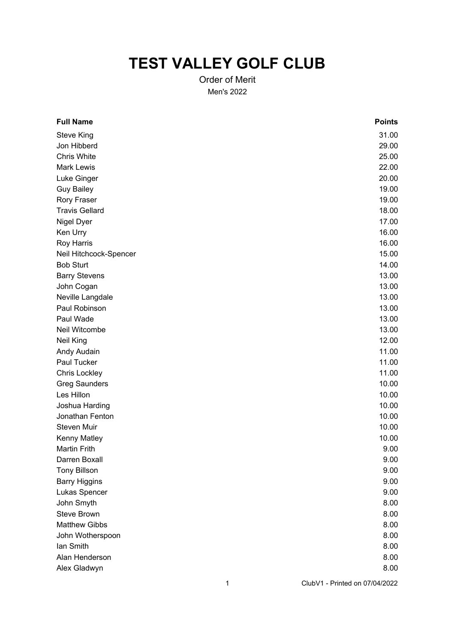## **TEST VALLEY GOLF CLUB**

Order of Merit Men's 2022

| <b>Points</b> |
|---------------|
| 31.00         |
| 29.00         |
| 25.00         |
| 22.00         |
| 20.00         |
| 19.00         |
| 19.00         |
| 18.00         |
| 17.00         |
| 16.00         |
| 16.00         |
| 15.00         |
| 14.00         |
| 13.00         |
| 13.00         |
| 13.00         |
| 13.00         |
| 13.00         |
| 13.00         |
| 12.00         |
| 11.00         |
| 11.00         |
| 11.00         |
| 10.00         |
| 10.00         |
| 10.00         |
| 10.00         |
| 10.00         |
| 10.00         |
| 9.00          |
| 9.00          |
| 9.00          |
| 9.00          |
| 9.00          |
| 8.00          |
| 8.00          |
| 8.00          |
| 8.00          |
| 8.00          |
| 8.00          |
| 8.00          |
|               |